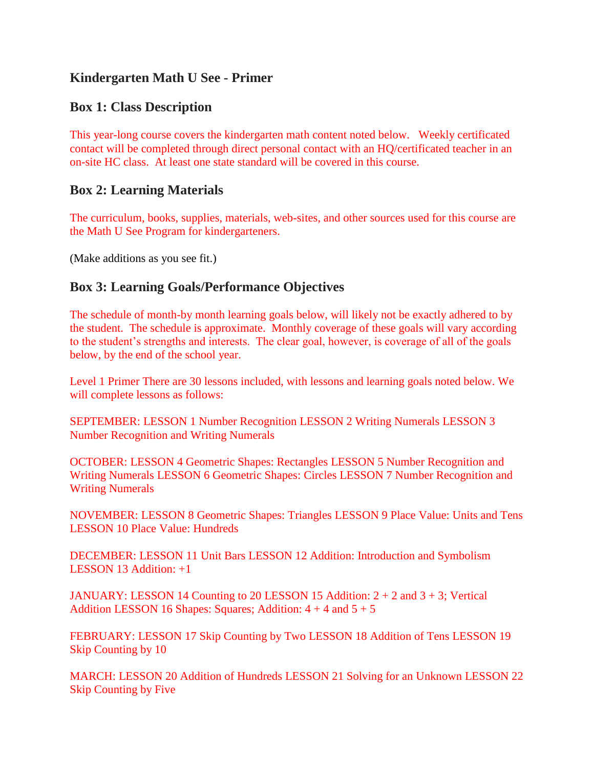# **Kindergarten Math U See - Primer**

## **Box 1: Class Description**

This year-long course covers the kindergarten math content noted below. Weekly certificated contact will be completed through direct personal contact with an HQ/certificated teacher in an on-site HC class. At least one state standard will be covered in this course.

#### **Box 2: Learning Materials**

The curriculum, books, supplies, materials, web-sites, and other sources used for this course are the Math U See Program for kindergarteners.

(Make additions as you see fit.)

## **Box 3: Learning Goals/Performance Objectives**

The schedule of month-by month learning goals below, will likely not be exactly adhered to by the student. The schedule is approximate. Monthly coverage of these goals will vary according to the student's strengths and interests. The clear goal, however, is coverage of all of the goals below, by the end of the school year.

Level 1 Primer There are 30 lessons included, with lessons and learning goals noted below. We will complete lessons as follows:

SEPTEMBER: LESSON 1 Number Recognition LESSON 2 Writing Numerals LESSON 3 Number Recognition and Writing Numerals

OCTOBER: LESSON 4 Geometric Shapes: Rectangles LESSON 5 Number Recognition and Writing Numerals LESSON 6 Geometric Shapes: Circles LESSON 7 Number Recognition and Writing Numerals

NOVEMBER: LESSON 8 Geometric Shapes: Triangles LESSON 9 Place Value: Units and Tens LESSON 10 Place Value: Hundreds

DECEMBER: LESSON 11 Unit Bars LESSON 12 Addition: Introduction and Symbolism LESSON 13 Addition: +1

JANUARY: LESSON 14 Counting to 20 LESSON 15 Addition:  $2 + 2$  and  $3 + 3$ ; Vertical Addition LESSON 16 Shapes: Squares; Addition:  $4 + 4$  and  $5 + 5$ 

FEBRUARY: LESSON 17 Skip Counting by Two LESSON 18 Addition of Tens LESSON 19 Skip Counting by 10

MARCH: LESSON 20 Addition of Hundreds LESSON 21 Solving for an Unknown LESSON 22 Skip Counting by Five